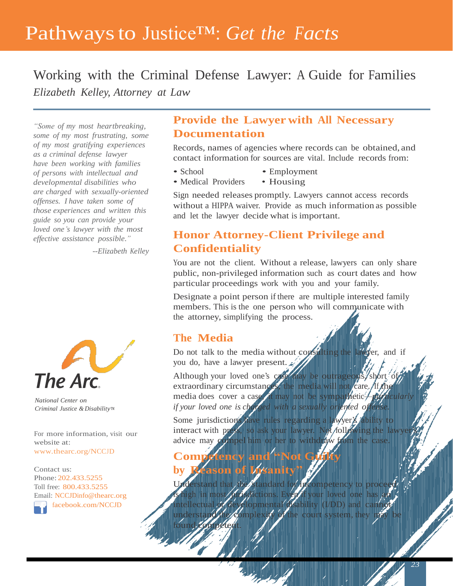# Pathwaysto Justice™: *Get the Facts*

Working with the Criminal Defense Lawyer: A Guide for Families *Elizabeth Kelley, Attorney at Law*

*"Some of my most heartbreaking, some of my most frustrating, some of my most gratifying experiences as a criminal defense lawyer have been working with families of persons with intellectual and developmental disabilities who are charged with sexually-oriented offenses. I have taken some of those experiences and written this guide so you can provide your loved one's lawyer with the most effective assistance possible."*

*--Elizabeth Kelley*



*National Center on Criminal Justice &Disability™*

For more information, visit our website at: [www.thearc.org/NCCJD](http://www.thearc.org/NCCJD)

Contact us: Phone: 202.433.5255 Toll free: 800.433.5255 Email: [NCCJDinfo@thearc.org](mailto:NCCJDinfo@thearc.org) [facebook.com/NCCJD](file:///C:/Users/ABrompton/Downloads/facebook.com/NCCJD)

### **Provide the Lawyer with All Necessary Documentation**

Records, names of agencies where records can be obtained, and contact information for sources are vital. Include records from:

- 
- School Employment
- Medical Providers Housing

Sign needed releases promptly. Lawyers cannot access records without a HIPPA waiver. Provide as much information as possible and let the lawyer decide what is important.

## **Honor Attorney-Client Privilege and Confidentiality**

You are not the client. Without a release, lawyers can only share public, non-privileged information such as court dates and how particular proceedings work with you and your family.

Designate a point person if there are multiple interested family members. This is the one person who will communicate with the attorney, simplifying the process.

#### **The Media**

Do not talk to the media without consulting the lawyer, and if you do, have a lawyer present.

Although your loved one's case may be outrageous, short of extraordinary circumstances, the media will not care. If the media does cover a case, it may not be sympathetic—*particular if your loved one is charged with a sexually oriented offense.*

Some jurisdictions have rules regarding a lawyer's ability to interact with press, so ask your lawyer. Not following the lawyer advice may compel him or her to withdraw from the case.

# **Competency and "Not Guilty by Reason of Insanity"**

standard for incompetency to proceed is high in most jurisdictions. Even if your loved one has an intellectual  $\mathcal{A}$  developmental  $\mathcal{A}$  sability (I/DD) and cannot mplexity of the court system, they m found. competent.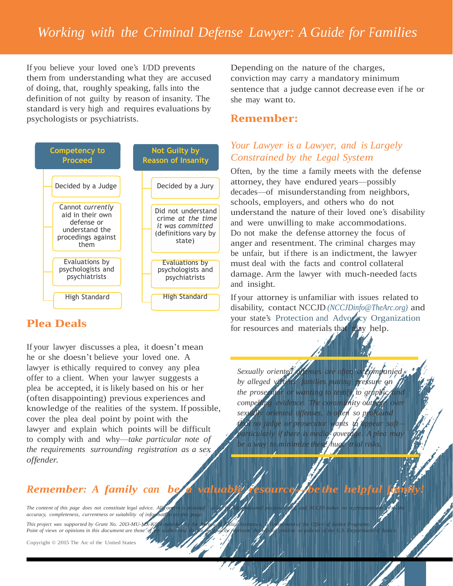If you believe your loved one's I/DD prevents them from understanding what they are accused of doing, that, roughly speaking, falls into the definition of not guilty by reason of insanity. The standard is very high and requires evaluations by psychologists or psychiatrists.



### **Plea Deals**

If your lawyer discusses a plea, it doesn't mean he or she doesn't believe your loved one. A lawyer is ethically required to convey any plea offer to a client. When your lawyer suggests a plea be accepted, it is likely based on his or her (often disappointing) previous experiences and knowledge of the realities of the system. If possible, cover the plea deal point by point with the lawyer and explain which points will be difficult to comply with and why—*take particular note of the requirements surrounding registration as a sex offender.*

# *Remember: A family can be*

The content of this page does not constitute legal advice. All *accuracy, completeness, currentness or suitability of information on this page.*

This project was supported by Grant No. 2013-MU-MX-KG Point of views or opinions in this document are those of

Copyright © 2015 The Arc of the United States

Depending on the nature of the charges, conviction may carry a mandatory minimum sentence that a judge cannot decrease even if he or she may want to.

#### **Remember:**

#### *Your Lawyer is a Lawyer, and is Largely Constrained by the Legal System*

Often, by the time a family meets with the defense attorney, they have endured years—possibly decades—of misunderstanding from neighbors, schools, employers, and others who do not understand the nature of their loved one's disability and were unwilling to make accommodations. Do not make the defense attorney the focus of anger and resentment. The criminal charges may be unfair, but if there is an indictment, the lawyer must deal with the facts and control collateral damage. Arm the lawyer with much-needed facts and insight.

If your attorney is unfamiliar with issues related to disability, contact NCCJD *[\(NCCJDinfo@TheArc.or](mailto:NCCJDinfo@TheArc.org)g)* and your state's Protection and Advocacy [Organization](http://www.thearc.org/file/documents_initiatives_nccjd/NCCJDFactSheet_PA-Copyright--BJA.pdf) for resources and materials that may help.

*Sexually oriented offenses are often accompanied by alleged victims' families putting pressure on the prosecutor or wanting to testify to graphic and compelling evidence. The community outrage over sexually oriented offenses, is often so profound that no judge or prosecutor wants to appear soft particularly if there is media coverage. A plea may be a way to minimize these huge trial risks.*